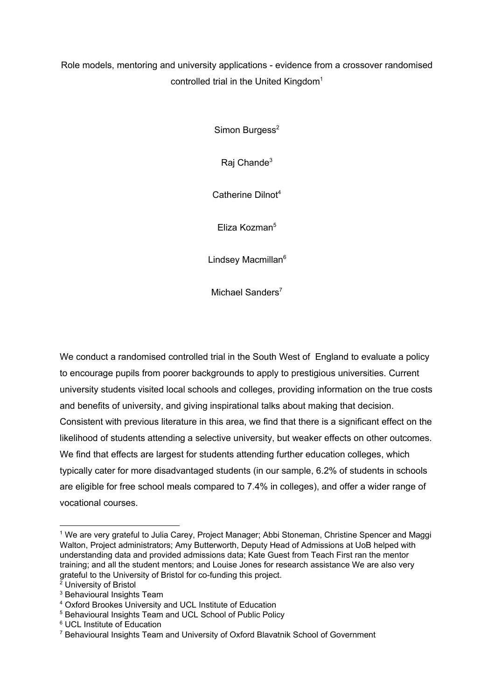Role models, mentoring and university applications - evidence from a crossover randomised controlled trial in the United Kingdom<sup>1</sup>

Simon Burgess<sup>2</sup>

Raj Chande<sup>3</sup>

Catherine Dilnot 4

Eliza Kozman 5

Lindsey Macmillan<sup>6</sup>

Michael Sanders<sup>7</sup>

We conduct a randomised controlled trial in the South West of England to evaluate a policy to encourage pupils from poorer backgrounds to apply to prestigious universities. Current university students visited local schools and colleges, providing information on the true costs and benefits of university, and giving inspirational talks about making that decision. Consistent with previous literature in this area, we find that there is a significant effect on the likelihood of students attending a selective university, but weaker effects on other outcomes. We find that effects are largest for students attending further education colleges, which typically cater for more disadvantaged students (in our sample, 6.2% of students in schools are eligible for free school meals compared to 7.4% in colleges), and offer a wider range of vocational courses.

<sup>&</sup>lt;sup>1</sup> We are very grateful to Julia Carey, Project Manager; Abbi Stoneman, Christine Spencer and Maggi Walton, Project administrators; Amy Butterworth, Deputy Head of Admissions at UoB helped with understanding data and provided admissions data; Kate Guest from Teach First ran the mentor training; and all the student mentors; and Louise Jones for research assistance We are also very grateful to the University of Bristol for co-funding this project.

 $2$  University of Bristol

<sup>3</sup> Behavioural Insights Team

<sup>4</sup> Oxford Brookes University and UCL Institute of Education

<sup>5</sup> Behavioural Insights Team and UCL School of Public Policy

<sup>6</sup> UCL Institute of Education

<sup>7</sup> Behavioural Insights Team and University of Oxford Blavatnik School of Government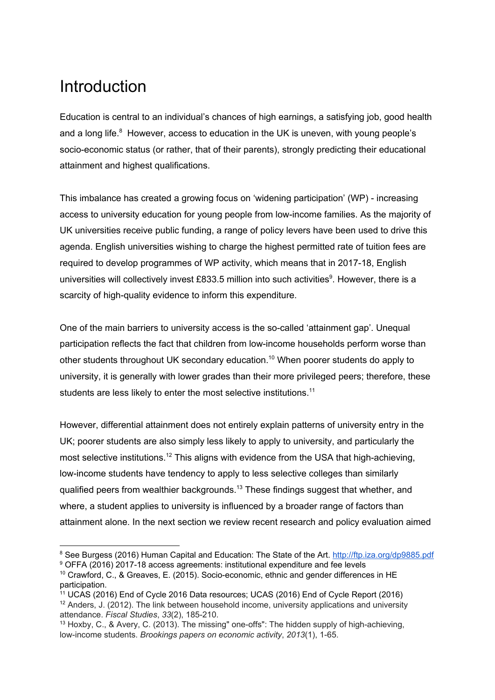# Introduction

Education is central to an individual's chances of high earnings, a satisfying job, good health and a long life. $8$  However, access to education in the UK is uneven, with young people's socio-economic status (or rather, that of their parents), strongly predicting their educational attainment and highest qualifications.

This imbalance has created a growing focus on 'widening participation' (WP) - increasing access to university education for young people from low-income families. As the majority of UK universities receive public funding, a range of policy levers have been used to drive this agenda. English universities wishing to charge the highest permitted rate of tuition fees are required to develop programmes of WP activity, which means that in 2017-18, English universities will collectively invest £833.5 million into such activities<sup>9</sup>. However, there is a scarcity of high-quality evidence to inform this expenditure.

One of the main barriers to university access is the so-called 'attainment gap'. Unequal participation reflects the fact that children from low-income households perform worse than other students throughout UK secondary education.<sup>10</sup> When poorer students do apply to university, it is generally with lower grades than their more privileged peers; therefore, these students are less likely to enter the most selective institutions.<sup>11</sup>

However, differential attainment does not entirely explain patterns of university entry in the UK; poorer students are also simply less likely to apply to university, and particularly the most selective institutions.<sup>12</sup> This aligns with evidence from the USA that high-achieving, low-income students have tendency to apply to less selective colleges than similarly qualified peers from wealthier backgrounds. $^{13}$  These findings suggest that whether, and where, a student applies to university is influenced by a broader range of factors than attainment alone. In the next section we review recent research and policy evaluation aimed

<sup>&</sup>lt;sup>8</sup> See Burgess (2016) Human Capital and Education: The State of the Art. <http://ftp.iza.org/dp9885.pdf>

<sup>9</sup> OFFA (2016) 2017-18 access agreements: institutional expenditure and fee levels <sup>10</sup> Crawford, C., & Greaves, E. (2015). Socio-economic, ethnic and gender differences in HE

participation. <sup>11</sup> UCAS (2016) End of Cycle 2016 Data resources; UCAS (2016) End of Cycle Report (2016)

 $12$  Anders, J. (2012). The link between household income, university applications and university attendance. *Fiscal Studies*, *33*(2), 185-210.

<sup>13</sup> Hoxby, C., & Avery, C. (2013). The missing" one-offs": The hidden supply of high-achieving, low-income students. *Brookings papers on economic activity*, *2013*(1), 1-65.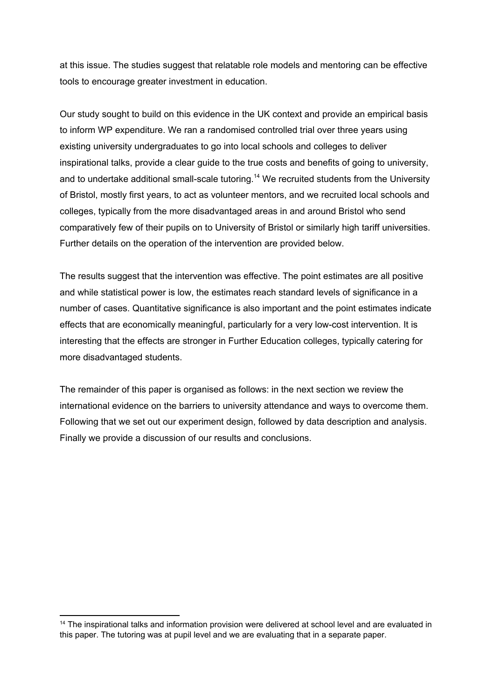at this issue. The studies suggest that relatable role models and mentoring can be effective tools to encourage greater investment in education.

Our study sought to build on this evidence in the UK context and provide an empirical basis to inform WP expenditure. We ran a randomised controlled trial over three years using existing university undergraduates to go into local schools and colleges to deliver inspirational talks, provide a clear guide to the true costs and benefits of going to university, and to undertake additional small-scale tutoring.<sup>14</sup> We recruited students from the University of Bristol, mostly first years, to act as volunteer mentors, and we recruited local schools and colleges, typically from the more disadvantaged areas in and around Bristol who send comparatively few of their pupils on to University of Bristol or similarly high tariff universities. Further details on the operation of the intervention are provided below.

The results suggest that the intervention was effective. The point estimates are all positive and while statistical power is low, the estimates reach standard levels of significance in a number of cases. Quantitative significance is also important and the point estimates indicate effects that are economically meaningful, particularly for a very low-cost intervention. It is interesting that the effects are stronger in Further Education colleges, typically catering for more disadvantaged students.

The remainder of this paper is organised as follows: in the next section we review the international evidence on the barriers to university attendance and ways to overcome them. Following that we set out our experiment design, followed by data description and analysis. Finally we provide a discussion of our results and conclusions.

<sup>&</sup>lt;sup>14</sup> The inspirational talks and information provision were delivered at school level and are evaluated in this paper. The tutoring was at pupil level and we are evaluating that in a separate paper.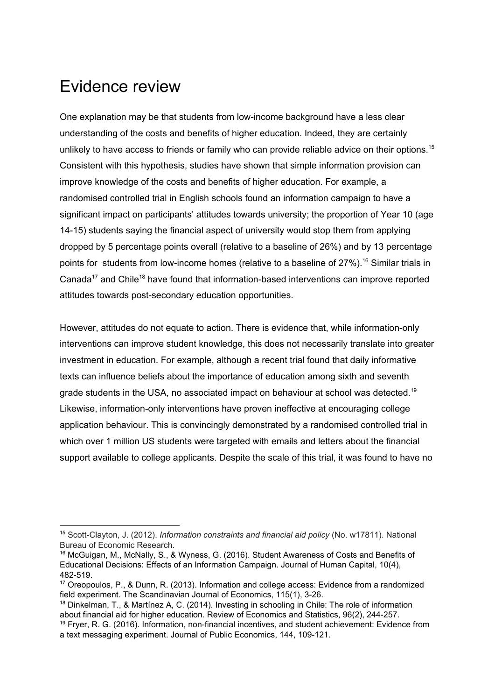## Evidence review

One explanation may be that students from low-income background have a less clear understanding of the costs and benefits of higher education. Indeed, they are certainly unlikely to have access to friends or family who can provide reliable advice on their options.<sup>15</sup> Consistent with this hypothesis, studies have shown that simple information provision can improve knowledge of the costs and benefits of higher education. For example, a randomised controlled trial in English schools found an information campaign to have a significant impact on participants' attitudes towards university; the proportion of Year 10 (age 14-15) students saying the financial aspect of university would stop them from applying dropped by 5 percentage points overall (relative to a baseline of 26%) and by 13 percentage points for students from low-income homes (relative to a baseline of 27%).<sup>16</sup> Similar trials in Canada<sup>17</sup> and Chile<sup>18</sup> have found that information-based interventions can improve reported attitudes towards post-secondary education opportunities.

However, attitudes do not equate to action. There is evidence that, while information-only interventions can improve student knowledge, this does not necessarily translate into greater investment in education. For example, although a recent trial found that daily informative texts can influence beliefs about the importance of education among sixth and seventh grade students in the USA, no associated impact on behaviour at school was detected.<sup>19</sup> Likewise, information-only interventions have proven ineffective at encouraging college application behaviour. This is convincingly demonstrated by a randomised controlled trial in which over 1 million US students were targeted with emails and letters about the financial support available to college applicants. Despite the scale of this trial, it was found to have no

<sup>15</sup> Scott-Clayton, J. (2012). *Information constraints and financial aid policy* (No. w17811). National Bureau of Economic Research.

<sup>&</sup>lt;sup>16</sup> McGuigan, M., McNally, S., & Wyness, G. (2016). Student Awareness of Costs and Benefits of Educational Decisions: Effects of an Information Campaign. Journal of Human Capital, 10(4), 482-519.

<sup>17</sup> Oreopoulos, P., & Dunn, R. (2013). Information and college access: Evidence from a randomized field experiment. The Scandinavian Journal of Economics, 115(1), 3-26.

<sup>&</sup>lt;sup>18</sup> Dinkelman, T., & Martínez A, C. (2014). Investing in schooling in Chile: The role of information about financial aid for higher education. Review of Economics and Statistics, 96(2), 244-257.

<sup>19</sup> Fryer, R. G. (2016). Information, non-financial incentives, and student achievement: Evidence from a text messaging experiment. Journal of Public Economics, 144, 109-121.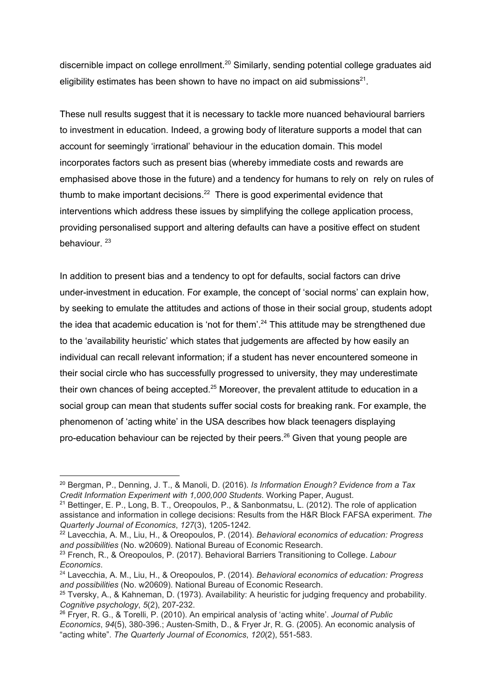discernible impact on college enrollment.<sup>20</sup> Similarly, sending potential college graduates aid eligibility estimates has been shown to have no impact on aid submissions<sup>21</sup>.

These null results suggest that it is necessary to tackle more nuanced behavioural barriers to investment in education. Indeed, a growing body of literature supports a model that can account for seemingly 'irrational' behaviour in the education domain. This model incorporates factors such as present bias (whereby immediate costs and rewards are emphasised above those in the future) and a tendency for humans to rely on rely on rules of thumb to make important decisions. $^{22}$  There is good experimental evidence that interventions which address these issues by simplifying the college application process, providing personalised support and altering defaults can have a positive effect on student behaviour. 23

In addition to present bias and a tendency to opt for defaults, social factors can drive under-investment in education. For example, the concept of 'social norms' can explain how, by seeking to emulate the attitudes and actions of those in their social group, students adopt the idea that academic education is 'not for them'.<sup>24</sup> This attitude may be strengthened due to the 'availability heuristic' which states that judgements are affected by how easily an individual can recall relevant information; if a student has never encountered someone in their social circle who has successfully progressed to university, they may underestimate their own chances of being accepted. $25$  Moreover, the prevalent attitude to education in a social group can mean that students suffer social costs for breaking rank. For example, the phenomenon of 'acting white' in the USA describes how black teenagers displaying pro-education behaviour can be rejected by their peers.<sup>26</sup> Given that young people are

<sup>22</sup> Lavecchia, A. M., Liu, H., & Oreopoulos, P. (2014). *Behavioral economics of education: Progress and possibilities* (No. w20609). National Bureau of Economic Research.

<sup>20</sup> Bergman, P., Denning, J. T., & Manoli, D. (2016). *Is Information Enough? Evidence from a Tax Credit Information Experiment with 1,000,000 Students*. Working Paper, August.

<sup>&</sup>lt;sup>21</sup> Bettinger, E. P., Long, B. T., Oreopoulos, P., & Sanbonmatsu, L. (2012). The role of application assistance and information in college decisions: Results from the H&R Block FAFSA experiment. *The Quarterly Journal of Economics*, *127*(3), 1205-1242.

<sup>23</sup> French, R., & Oreopoulos, P. (2017). Behavioral Barriers Transitioning to College. *Labour Economics*.

<sup>24</sup> Lavecchia, A. M., Liu, H., & Oreopoulos, P. (2014). *Behavioral economics of education: Progress and possibilities* (No. w20609). National Bureau of Economic Research.

<sup>&</sup>lt;sup>25</sup> Tversky, A., & Kahneman, D. (1973). Availability: A heuristic for judging frequency and probability. *Cognitive psychology*, *5*(2), 207-232.

<sup>26</sup> Fryer, R. G., & Torelli, P. (2010). An empirical analysis of 'acting white'. *Journal of Public Economics*, *94*(5), 380-396.; Austen-Smith, D., & Fryer Jr, R. G. (2005). An economic analysis of "acting white". *The Quarterly Journal of Economics*, *120*(2), 551-583.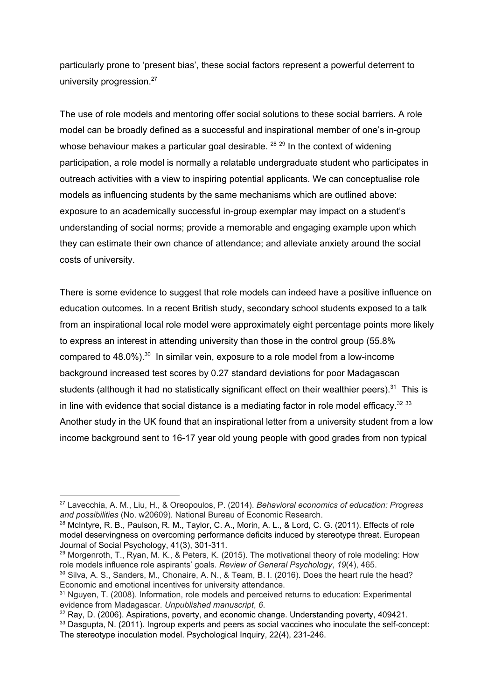particularly prone to 'present bias', these social factors represent a powerful deterrent to university progression.<sup>27</sup>

The use of role models and mentoring offer social solutions to these social barriers. A role model can be broadly defined as a successful and inspirational member of one's in-group whose behaviour makes a particular goal desirable.  $^{28}$   $^{29}$  In the context of widening participation, a role model is normally a relatable undergraduate student who participates in outreach activities with a view to inspiring potential applicants. We can conceptualise role models as influencing students by the same mechanisms which are outlined above: exposure to an academically successful in-group exemplar may impact on a student's understanding of social norms; provide a memorable and engaging example upon which they can estimate their own chance of attendance; and alleviate anxiety around the social costs of university.

There is some evidence to suggest that role models can indeed have a positive influence on education outcomes. In a recent British study, secondary school students exposed to a talk from an inspirational local role model were approximately eight percentage points more likely to express an interest in attending university than those in the control group (55.8% compared to 48.0%). $30$  In similar vein, exposure to a role model from a low-income background increased test scores by 0.27 standard deviations for poor Madagascan students (although it had no statistically significant effect on their wealthier peers).<sup>31</sup> This is in line with evidence that social distance is a mediating factor in role model efficacy. $32,33$ Another study in the UK found that an inspirational letter from a university student from a low income background sent to 16-17 year old young people with good grades from non typical

<sup>27</sup> Lavecchia, A. M., Liu, H., & Oreopoulos, P. (2014). *Behavioral economics of education: Progress and possibilities* (No. w20609). National Bureau of Economic Research.

<sup>&</sup>lt;sup>28</sup> McIntyre, R. B., Paulson, R. M., Taylor, C. A., Morin, A. L., & Lord, C. G. (2011). Effects of role model deservingness on overcoming performance deficits induced by stereotype threat. European Journal of Social Psychology, 41(3), 301-311.

<sup>&</sup>lt;sup>29</sup> Morgenroth, T., Ryan, M. K., & Peters, K. (2015). The motivational theory of role modeling: How role models influence role aspirants' goals. *Review of General Psychology*, *19*(4), 465.

<sup>&</sup>lt;sup>30</sup> Silva, A. S., Sanders, M., Chonaire, A. N., & Team, B. I. (2016). Does the heart rule the head? Economic and emotional incentives for university attendance.

<sup>&</sup>lt;sup>31</sup> Nguven, T. (2008). Information, role models and perceived returns to education: Experimental evidence from Madagascar. *Unpublished manuscript*, *6*.

 $32$  Ray, D. (2006). Aspirations, poverty, and economic change. Understanding poverty, 409421.

<sup>33</sup> Dasqupta, N. (2011). Ingroup experts and peers as social vaccines who inoculate the self-concept: The stereotype inoculation model. Psychological Inquiry, 22(4), 231-246.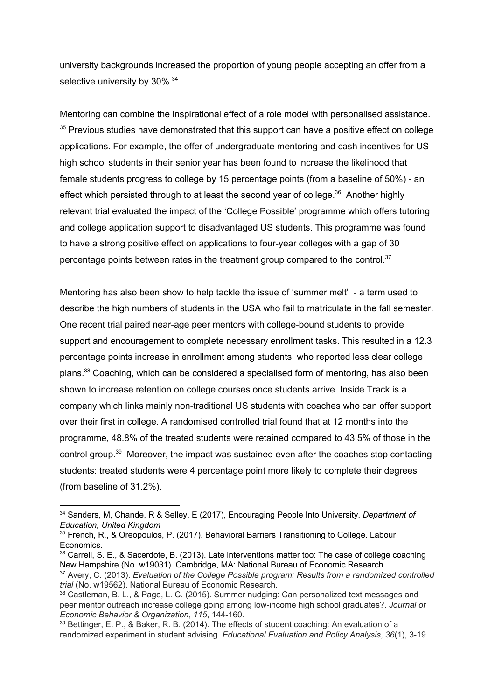university backgrounds increased the proportion of young people accepting an offer from a selective university by 30%.<sup>34</sup>

Mentoring can combine the inspirational effect of a role model with personalised assistance.  $35$  Previous studies have demonstrated that this support can have a positive effect on college applications. For example, the offer of undergraduate mentoring and cash incentives for US high school students in their senior year has been found to increase the likelihood that female students progress to college by 15 percentage points (from a baseline of 50%) - an effect which persisted through to at least the second year of college. $36$  Another highly relevant trial evaluated the impact of the 'College Possible' programme which offers tutoring and college application support to disadvantaged US students. This programme was found to have a strong positive effect on applications to four-year colleges with a gap of 30 percentage points between rates in the treatment group compared to the control. $37$ 

Mentoring has also been show to help tackle the issue of 'summer melt' - a term used to describe the high numbers of students in the USA who fail to matriculate in the fall semester. One recent trial paired near-age peer mentors with college-bound students to provide support and encouragement to complete necessary enrollment tasks. This resulted in a 12.3 percentage points increase in enrollment among students who reported less clear college plans.<sup>38</sup> Coaching, which can be considered a specialised form of mentoring, has also been shown to increase retention on college courses once students arrive. Inside Track is a company which links mainly non-traditional US students with coaches who can offer support over their first in college. A randomised controlled trial found that at 12 months into the programme, 48.8% of the treated students were retained compared to 43.5% of those in the control group. $39$  Moreover, the impact was sustained even after the coaches stop contacting students: treated students were 4 percentage point more likely to complete their degrees (from baseline of 31.2%).

<sup>34</sup> Sanders, M, Chande, R & Selley, E (2017), Encouraging People Into University. *Department of Education, United Kingdom*

<sup>35</sup> French, R., & Oreopoulos, P. (2017). Behavioral Barriers Transitioning to College. Labour Economics.

<sup>&</sup>lt;sup>36</sup> Carrell, S. E., & Sacerdote, B. (2013). Late interventions matter too: The case of college coaching New Hampshire (No. w19031). Cambridge, MA: National Bureau of Economic Research.

<sup>37</sup> Avery, C. (2013). *Evaluation of the College Possible program: Results from a randomized controlled trial* (No. w19562). National Bureau of Economic Research.

<sup>38</sup> Castleman, B. L., & Page, L. C. (2015). Summer nudging: Can personalized text messages and peer mentor outreach increase college going among low-income high school graduates?. *Journal of Economic Behavior & Organization*, *115*, 144-160.

<sup>39</sup> Bettinger, E. P., & Baker, R. B. (2014). The effects of student coaching: An evaluation of a randomized experiment in student advising. *Educational Evaluation and Policy Analysis*, *36*(1), 3-19.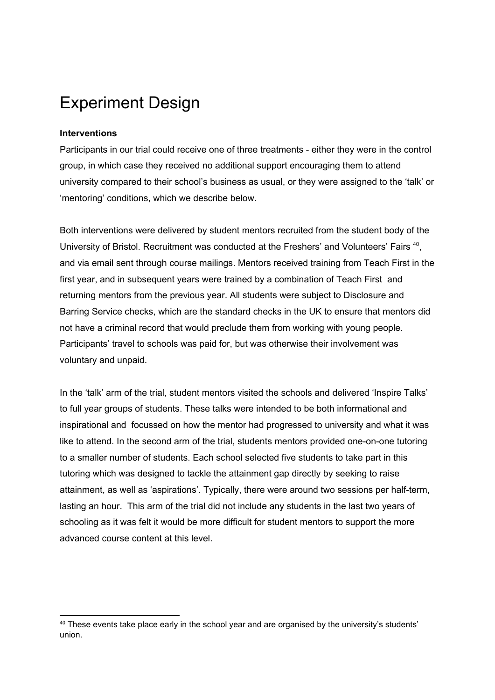# Experiment Design

### **Interventions**

Participants in our trial could receive one of three treatments - either they were in the control group, in which case they received no additional support encouraging them to attend university compared to their school's business as usual, or they were assigned to the 'talk' or 'mentoring' conditions, which we describe below.

Both interventions were delivered by student mentors recruited from the student body of the University of Bristol. Recruitment was conducted at the Freshers' and Volunteers' Fairs <sup>40</sup>, and via email sent through course mailings. Mentors received training from Teach First in the first year, and in subsequent years were trained by a combination of Teach First and returning mentors from the previous year. All students were subject to Disclosure and Barring Service checks, which are the standard checks in the UK to ensure that mentors did not have a criminal record that would preclude them from working with young people. Participants' travel to schools was paid for, but was otherwise their involvement was voluntary and unpaid.

In the 'talk' arm of the trial, student mentors visited the schools and delivered 'Inspire Talks' to full year groups of students. These talks were intended to be both informational and inspirational and focussed on how the mentor had progressed to university and what it was like to attend. In the second arm of the trial, students mentors provided one-on-one tutoring to a smaller number of students. Each school selected five students to take part in this tutoring which was designed to tackle the attainment gap directly by seeking to raise attainment, as well as 'aspirations'. Typically, there were around two sessions per half-term, lasting an hour. This arm of the trial did not include any students in the last two years of schooling as it was felt it would be more difficult for student mentors to support the more advanced course content at this level.

<sup>&</sup>lt;sup>40</sup> These events take place early in the school year and are organised by the university's students' union.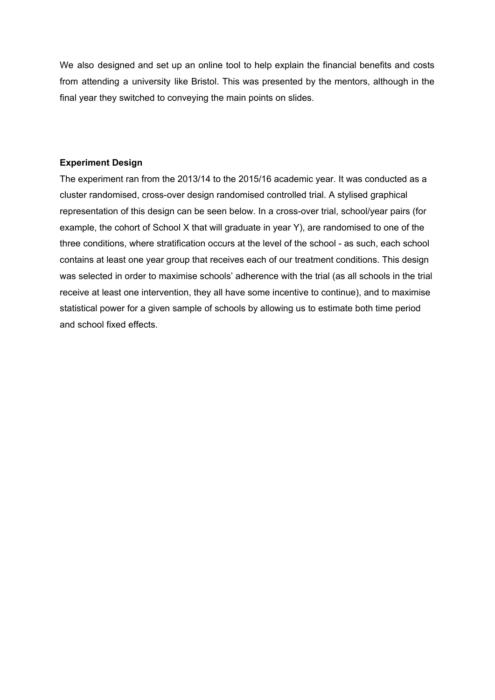We also designed and set up an online tool to help explain the financial benefits and costs from attending a university like Bristol. This was presented by the mentors, although in the final year they switched to conveying the main points on slides.

### **Experiment Design**

The experiment ran from the 2013/14 to the 2015/16 academic year. It was conducted as a cluster randomised, cross-over design randomised controlled trial. A stylised graphical representation of this design can be seen below. In a cross-over trial, school/year pairs (for example, the cohort of School X that will graduate in year Y), are randomised to one of the three conditions, where stratification occurs at the level of the school - as such, each school contains at least one year group that receives each of our treatment conditions. This design was selected in order to maximise schools' adherence with the trial (as all schools in the trial receive at least one intervention, they all have some incentive to continue), and to maximise statistical power for a given sample of schools by allowing us to estimate both time period and school fixed effects.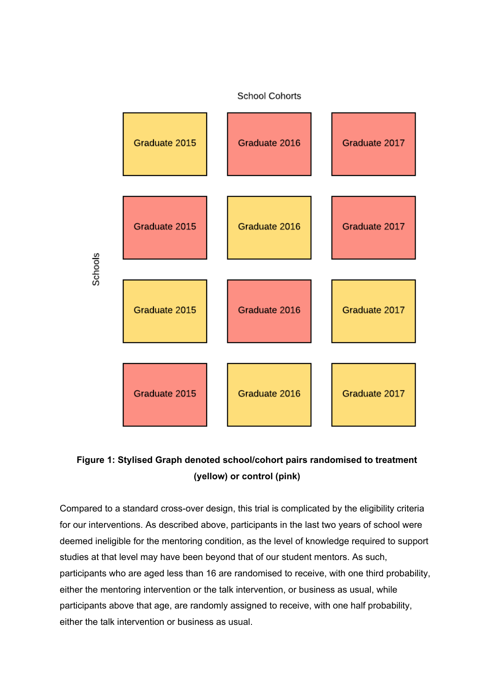

### **Figure 1: Stylised Graph denoted school/cohort pairs randomised to treatment (yellow) or control (pink)**

Compared to a standard cross-over design, this trial is complicated by the eligibility criteria for our interventions. As described above, participants in the last two years of school were deemed ineligible for the mentoring condition, as the level of knowledge required to support studies at that level may have been beyond that of our student mentors. As such, participants who are aged less than 16 are randomised to receive, with one third probability, either the mentoring intervention or the talk intervention, or business as usual, while participants above that age, are randomly assigned to receive, with one half probability, either the talk intervention or business as usual.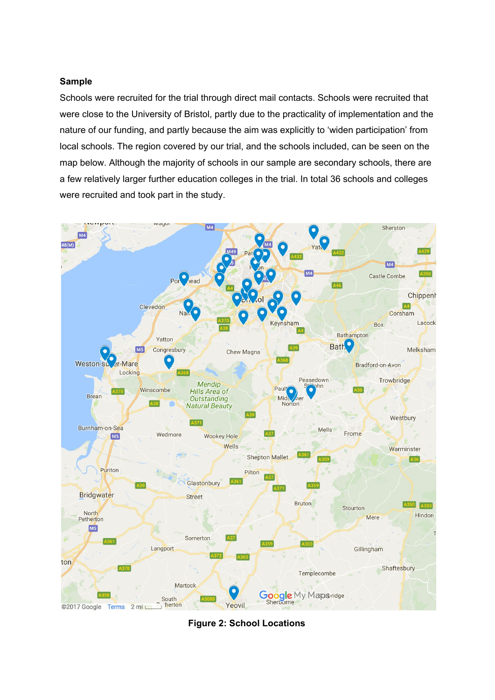#### **Sample**

Schools were recruited for the trial through direct mail contacts. Schools were recruited that were close to the University of Bristol, partly due to the practicality of implementation and the nature of our funding, and partly because the aim was explicitly to 'widen participation' from local schools. The region covered by our trial, and the schools included, can be seen on the map below. Although the majority of schools in our sample are secondary schools, there are a few relatively larger further education colleges in the trial. In total 36 schools and colleges were recruited and took part in the study.



**Figure 2: School Locations**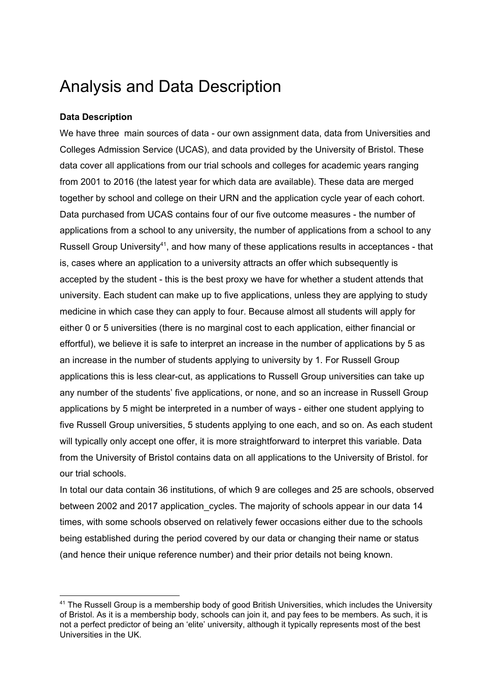## Analysis and Data Description

### **Data Description**

We have three main sources of data - our own assignment data, data from Universities and Colleges Admission Service (UCAS), and data provided by the University of Bristol. These data cover all applications from our trial schools and colleges for academic years ranging from 2001 to 2016 (the latest year for which data are available). These data are merged together by school and college on their URN and the application cycle year of each cohort. Data purchased from UCAS contains four of our five outcome measures - the number of applications from a school to any university, the number of applications from a school to any Russell Group University<sup>41</sup>, and how many of these applications results in acceptances - that is, cases where an application to a university attracts an offer which subsequently is accepted by the student - this is the best proxy we have for whether a student attends that university. Each student can make up to five applications, unless they are applying to study medicine in which case they can apply to four. Because almost all students will apply for either 0 or 5 universities (there is no marginal cost to each application, either financial or effortful), we believe it is safe to interpret an increase in the number of applications by 5 as an increase in the number of students applying to university by 1. For Russell Group applications this is less clear-cut, as applications to Russell Group universities can take up any number of the students' five applications, or none, and so an increase in Russell Group applications by 5 might be interpreted in a number of ways - either one student applying to five Russell Group universities, 5 students applying to one each, and so on. As each student will typically only accept one offer, it is more straightforward to interpret this variable. Data from the University of Bristol contains data on all applications to the University of Bristol. for our trial schools.

In total our data contain 36 institutions, of which 9 are colleges and 25 are schools, observed between 2002 and 2017 application cycles. The majority of schools appear in our data 14 times, with some schools observed on relatively fewer occasions either due to the schools being established during the period covered by our data or changing their name or status (and hence their unique reference number) and their prior details not being known.

<sup>&</sup>lt;sup>41</sup> The Russell Group is a membership body of good British Universities, which includes the University of Bristol. As it is a membership body, schools can join it, and pay fees to be members. As such, it is not a perfect predictor of being an 'elite' university, although it typically represents most of the best Universities in the UK.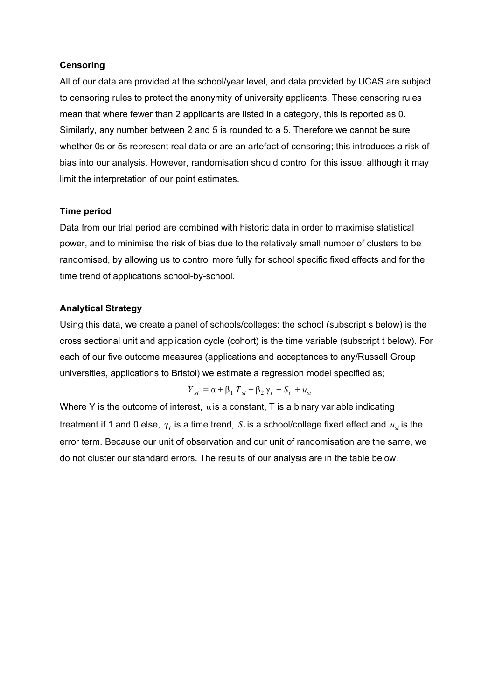### **Censoring**

All of our data are provided at the school/year level, and data provided by UCAS are subject to censoring rules to protect the anonymity of university applicants. These censoring rules mean that where fewer than 2 applicants are listed in a category, this is reported as 0. Similarly, any number between 2 and 5 is rounded to a 5. Therefore we cannot be sure whether 0s or 5s represent real data or are an artefact of censoring; this introduces a risk of bias into our analysis. However, randomisation should control for this issue, although it may limit the interpretation of our point estimates.

#### **Time period**

Data from our trial period are combined with historic data in order to maximise statistical power, and to minimise the risk of bias due to the relatively small number of clusters to be randomised, by allowing us to control more fully for school specific fixed effects and for the time trend of applications school-by-school.

#### **Analytical Strategy**

Using this data, we create a panel of schools/colleges: the school (subscript s below) is the cross sectional unit and application cycle (cohort) is the time variable (subscript t below). For each of our five outcome measures (applications and acceptances to any/Russell Group universities, applications to Bristol) we estimate a regression model specified as;

$$
Y_{st} = \alpha + \beta_1 T_{st} + \beta_2 \gamma_t + S_i + u_{st}
$$

Where Y is the outcome of interest,  $\alpha$  is a constant, T is a binary variable indicating treatment if 1 and 0 else,  $\gamma_t$  is a time trend,  $S_i$  is a school/college fixed effect and  $\,u_{_{SI}}$  is the error term. Because our unit of observation and our unit of randomisation are the same, we do not cluster our standard errors. The results of our analysis are in the table below.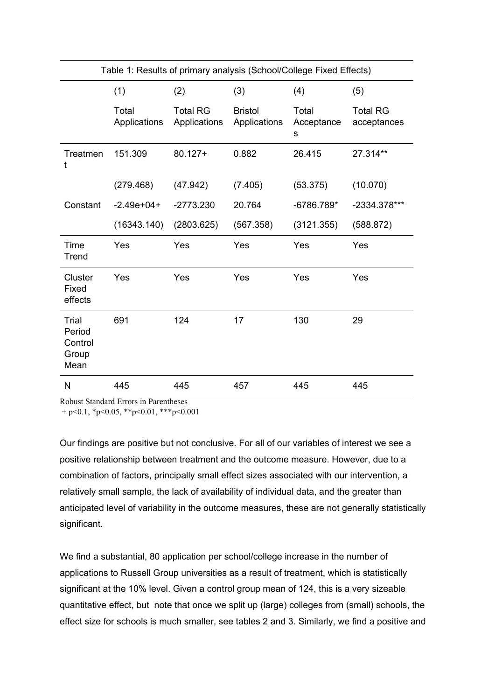| Table 1: Results of primary analysis (School/College Fixed Effects) |                       |                                 |                                |                          |                                |  |
|---------------------------------------------------------------------|-----------------------|---------------------------------|--------------------------------|--------------------------|--------------------------------|--|
|                                                                     | (1)                   | (2)                             | (3)                            | (4)                      | (5)                            |  |
|                                                                     | Total<br>Applications | <b>Total RG</b><br>Applications | <b>Bristol</b><br>Applications | Total<br>Acceptance<br>s | <b>Total RG</b><br>acceptances |  |
| Treatmen<br>t                                                       | 151.309               | $80.127 +$                      | 0.882                          | 26.415                   | 27.314**                       |  |
|                                                                     | (279.468)             | (47.942)                        | (7.405)                        | (53.375)                 | (10.070)                       |  |
| Constant                                                            | $-2.49e+04+$          | $-2773.230$                     | 20.764                         | $-6786.789*$             | -2334.378***                   |  |
|                                                                     | (16343.140)           | (2803.625)                      | (567.358)                      | (3121.355)               | (588.872)                      |  |
| Time<br>Trend                                                       | Yes                   | Yes                             | Yes                            | Yes                      | Yes                            |  |
| Cluster<br>Fixed<br>effects                                         | Yes                   | Yes                             | Yes                            | Yes                      | Yes                            |  |
| Trial<br>Period<br>Control<br>Group<br>Mean                         | 691                   | 124                             | 17                             | 130                      | 29                             |  |
| N                                                                   | 445                   | 445                             | 457                            | 445                      | 445                            |  |

Robust Standard Errors in Parentheses

+ p<0.1, \*p<0.05, \*\*p<0.01, \*\*\*p<0.001

Our findings are positive but not conclusive. For all of our variables of interest we see a positive relationship between treatment and the outcome measure. However, due to a combination of factors, principally small effect sizes associated with our intervention, a relatively small sample, the lack of availability of individual data, and the greater than anticipated level of variability in the outcome measures, these are not generally statistically significant.

We find a substantial, 80 application per school/college increase in the number of applications to Russell Group universities as a result of treatment, which is statistically significant at the 10% level. Given a control group mean of 124, this is a very sizeable quantitative effect, but note that once we split up (large) colleges from (small) schools, the effect size for schools is much smaller, see tables 2 and 3. Similarly, we find a positive and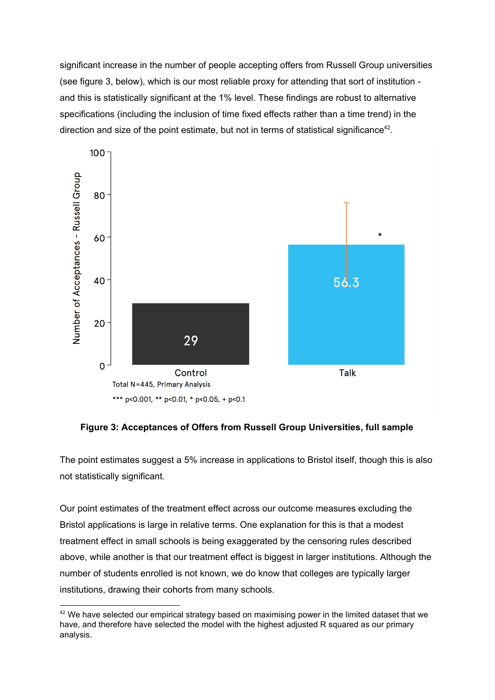significant increase in the number of people accepting offers from Russell Group universities (see figure 3, below), which is our most reliable proxy for attending that sort of institution and this is statistically significant at the 1% level. These findings are robust to alternative specifications (including the inclusion of time fixed effects rather than a time trend) in the direction and size of the point estimate, but not in terms of statistical significance<sup>42</sup>.



**Figure 3: Acceptances of Offers from Russell Group Universities, full sample**

The point estimates suggest a 5% increase in applications to Bristol itself, though this is also not statistically significant.

Our point estimates of the treatment effect across our outcome measures excluding the Bristol applications is large in relative terms. One explanation for this is that a modest treatment effect in small schools is being exaggerated by the censoring rules described above, while another is that our treatment effect is biggest in larger institutions. Although the number of students enrolled is not known, we do know that colleges are typically larger institutions, drawing their cohorts from many schools.

 $42$  We have selected our empirical strategy based on maximising power in the limited dataset that we have, and therefore have selected the model with the highest adjusted R squared as our primary analysis.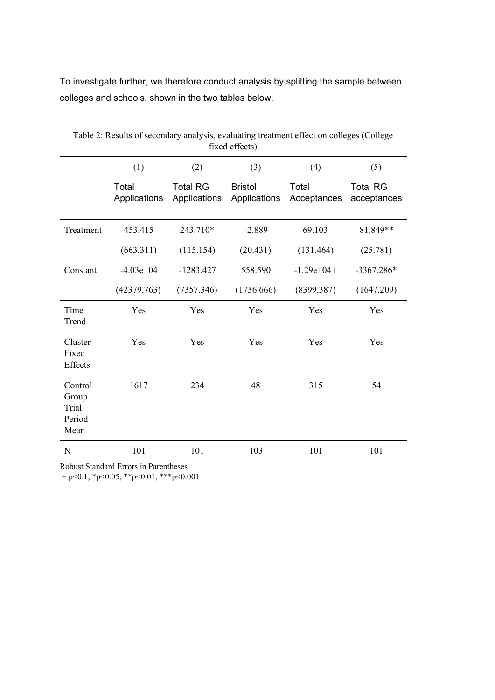To investigate further, we therefore conduct analysis by splitting the sample between colleges and schools, shown in the two tables below.

| Table 2: Results of secondary analysis, evaluating treatment effect on colleges (College<br>fixed effects) |                       |                                 |                                |                      |                                |  |  |
|------------------------------------------------------------------------------------------------------------|-----------------------|---------------------------------|--------------------------------|----------------------|--------------------------------|--|--|
|                                                                                                            | (1)                   | (2)                             | (3)                            | (4)                  | (5)                            |  |  |
|                                                                                                            | Total<br>Applications | <b>Total RG</b><br>Applications | <b>Bristol</b><br>Applications | Total<br>Acceptances | <b>Total RG</b><br>acceptances |  |  |
| Treatment                                                                                                  | 453.415               | 243.710*                        | $-2.889$                       | 69.103               | 81.849**                       |  |  |
|                                                                                                            | (663.311)             | (115.154)                       | (20.431)                       | (131.464)            | (25.781)                       |  |  |
| Constant                                                                                                   | $-4.03e+04$           | $-1283.427$                     | 558.590                        | $-1.29e+04+$         | $-3367.286*$                   |  |  |
|                                                                                                            | (42379.763)           | (7357.346)                      | (1736.666)                     | (8399.387)           | (1647.209)                     |  |  |
| Time<br>Trend                                                                                              | Yes                   | Yes                             | Yes                            | Yes                  | Yes                            |  |  |
| Cluster<br>Fixed<br>Effects                                                                                | Yes                   | Yes                             | Yes                            | Yes                  | Yes                            |  |  |
| Control<br>Group<br>Trial<br>Period<br>Mean                                                                | 1617                  | 234                             | 48                             | 315                  | 54                             |  |  |
| $\mathbf N$                                                                                                | 101                   | 101                             | 103                            | 101                  | 101                            |  |  |

Robust Standard Errors in Parentheses

+ p<0.1, \*p<0.05, \*\*p<0.01, \*\*\*p<0.001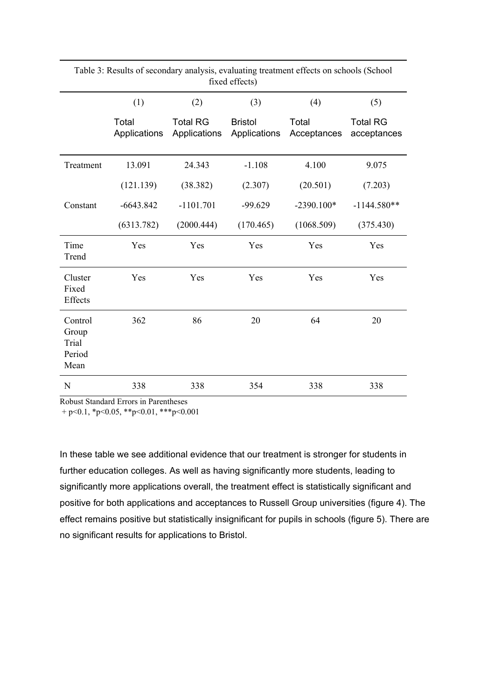| fixed effects)                              |                       |                                 |                                |                      |                                |  |  |
|---------------------------------------------|-----------------------|---------------------------------|--------------------------------|----------------------|--------------------------------|--|--|
|                                             | (1)                   | (2)                             | (3)                            | (4)                  | (5)                            |  |  |
|                                             | Total<br>Applications | <b>Total RG</b><br>Applications | <b>Bristol</b><br>Applications | Total<br>Acceptances | <b>Total RG</b><br>acceptances |  |  |
| Treatment                                   | 13.091                | 24.343                          | $-1.108$                       | 4.100                | 9.075                          |  |  |
|                                             | (121.139)             | (38.382)                        | (2.307)                        | (20.501)             | (7.203)                        |  |  |
| Constant                                    | $-6643.842$           | $-1101.701$                     | $-99.629$                      | $-2390.100*$         | $-1144.580**$                  |  |  |
|                                             | (6313.782)            | (2000.444)                      | (170.465)                      | (1068.509)           | (375.430)                      |  |  |
| Time<br>Trend                               | Yes                   | Yes                             | Yes                            | Yes                  | Yes                            |  |  |
| Cluster<br>Fixed<br>Effects                 | Yes                   | Yes                             | Yes                            | Yes                  | Yes                            |  |  |
| Control<br>Group<br>Trial<br>Period<br>Mean | 362                   | 86                              | 20                             | 64                   | 20                             |  |  |
| N                                           | 338                   | 338                             | 354                            | 338                  | 338                            |  |  |

Table 3: Results of secondary analysis, evaluating treatment effects on schools (School

Robust Standard Errors in Parentheses

+ p<0.1, \*p<0.05, \*\*p<0.01, \*\*\*p<0.001

In these table we see additional evidence that our treatment is stronger for students in further education colleges. As well as having significantly more students, leading to significantly more applications overall, the treatment effect is statistically significant and positive for both applications and acceptances to Russell Group universities (figure 4). The effect remains positive but statistically insignificant for pupils in schools (figure 5). There are no significant results for applications to Bristol.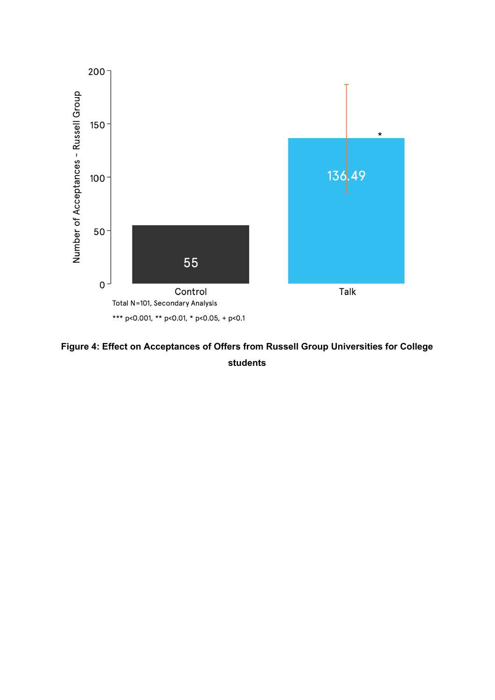

**Figure 4: Effect on Acceptances of Offers from Russell Group Universities for College students**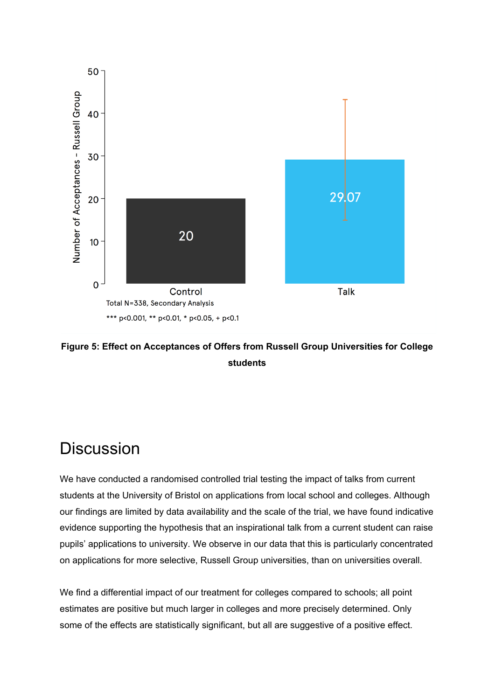

### **Figure 5: Effect on Acceptances of Offers from Russell Group Universities for College students**

## **Discussion**

We have conducted a randomised controlled trial testing the impact of talks from current students at the University of Bristol on applications from local school and colleges. Although our findings are limited by data availability and the scale of the trial, we have found indicative evidence supporting the hypothesis that an inspirational talk from a current student can raise pupils' applications to university. We observe in our data that this is particularly concentrated on applications for more selective, Russell Group universities, than on universities overall.

We find a differential impact of our treatment for colleges compared to schools; all point estimates are positive but much larger in colleges and more precisely determined. Only some of the effects are statistically significant, but all are suggestive of a positive effect.